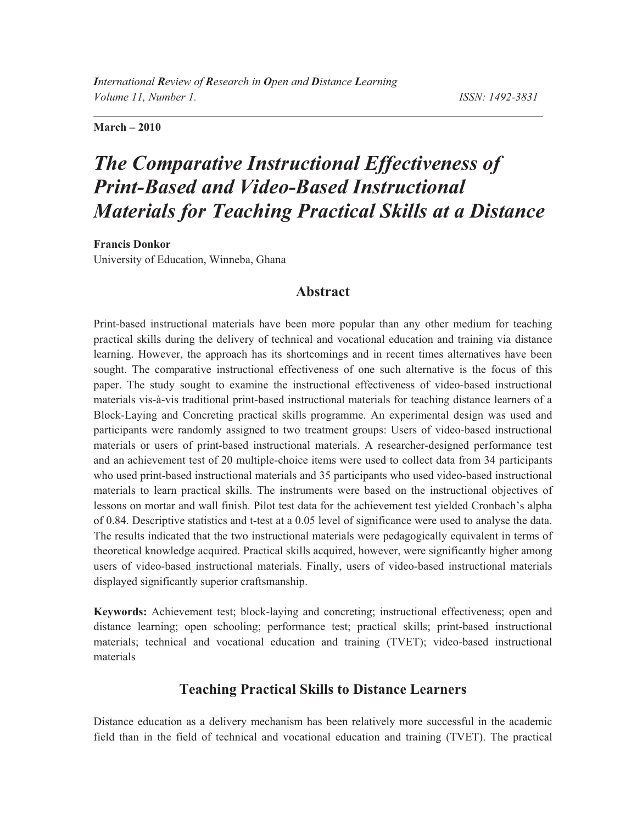#### **March – 2010**

# *The Comparative Instructional Effectiveness of Print-Based and Video-Based Instructional Materials for Teaching Practical Skills at a Distance*

#### **Francis Donkor**

University of Education, Winneba, Ghana

#### **Abstract**

Print-based instructional materials have been more popular than any other medium for teaching practical skills during the delivery of technical and vocational education and training via distance learning. However, the approach has its shortcomings and in recent times alternatives have been sought. The comparative instructional effectiveness of one such alternative is the focus of this paper. The study sought to examine the instructional effectiveness of video-based instructional materials vis-à-vis traditional print-based instructional materials for teaching distance learners of a Block-Laying and Concreting practical skills programme. An experimental design was used and participants were randomly assigned to two treatment groups: Users of video-based instructional materials or users of print-based instructional materials. A researcher-designed performance test and an achievement test of 20 multiple-choice items were used to collect data from 34 participants who used print-based instructional materials and 35 participants who used video-based instructional materials to learn practical skills. The instruments were based on the instructional objectives of lessons on mortar and wall finish. Pilot test data for the achievement test yielded Cronbach's alpha of 0.84. Descriptive statistics and t-test at a 0.05 level of significance were used to analyse the data. The results indicated that the two instructional materials were pedagogically equivalent in terms of theoretical knowledge acquired. Practical skills acquired, however, were significantly higher among users of video-based instructional materials. Finally, users of video-based instructional materials displayed significantly superior craftsmanship.

**Keywords:** Achievement test; block-laying and concreting; instructional effectiveness; open and distance learning; open schooling; performance test; practical skills; print-based instructional materials; technical and vocational education and training (TVET); video-based instructional materials

#### **Teaching Practical Skills to Distance Learners**

Distance education as a delivery mechanism has been relatively more successful in the academic field than in the field of technical and vocational education and training (TVET). The practical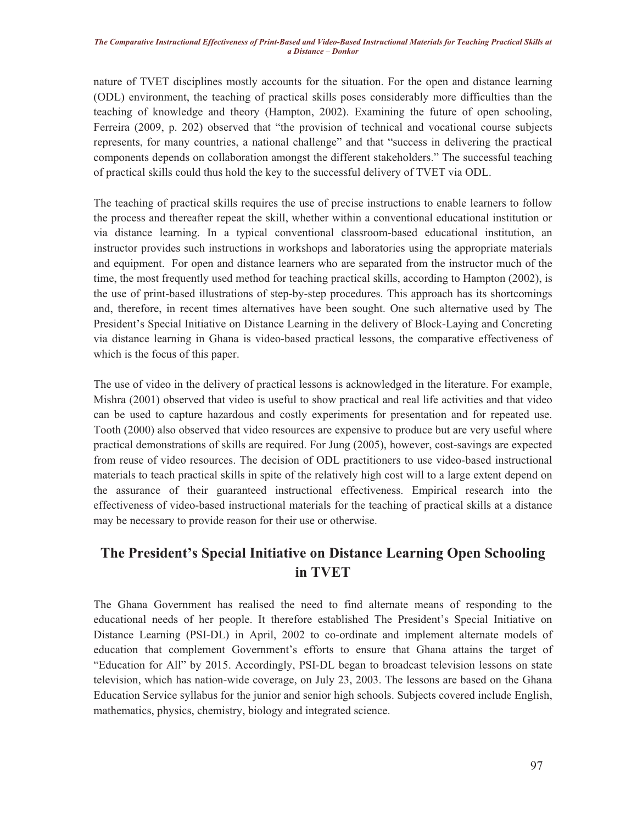nature of TVET disciplines mostly accounts for the situation. For the open and distance learning (ODL) environment, the teaching of practical skills poses considerably more difficulties than the teaching of knowledge and theory (Hampton, 2002). Examining the future of open schooling, Ferreira (2009, p. 202) observed that "the provision of technical and vocational course subjects represents, for many countries, a national challenge" and that "success in delivering the practical components depends on collaboration amongst the different stakeholders." The successful teaching of practical skills could thus hold the key to the successful delivery of TVET via ODL.

The teaching of practical skills requires the use of precise instructions to enable learners to follow the process and thereafter repeat the skill, whether within a conventional educational institution or via distance learning. In a typical conventional classroom-based educational institution, an instructor provides such instructions in workshops and laboratories using the appropriate materials and equipment. For open and distance learners who are separated from the instructor much of the time, the most frequently used method for teaching practical skills, according to Hampton (2002), is the use of print-based illustrations of step-by-step procedures. This approach has its shortcomings and, therefore, in recent times alternatives have been sought. One such alternative used by The President's Special Initiative on Distance Learning in the delivery of Block-Laying and Concreting via distance learning in Ghana is video-based practical lessons, the comparative effectiveness of which is the focus of this paper.

The use of video in the delivery of practical lessons is acknowledged in the literature. For example, Mishra (2001) observed that video is useful to show practical and real life activities and that video can be used to capture hazardous and costly experiments for presentation and for repeated use. Tooth (2000) also observed that video resources are expensive to produce but are very useful where practical demonstrations of skills are required. For Jung (2005), however, cost-savings are expected from reuse of video resources. The decision of ODL practitioners to use video-based instructional materials to teach practical skills in spite of the relatively high cost will to a large extent depend on the assurance of their guaranteed instructional effectiveness. Empirical research into the effectiveness of video-based instructional materials for the teaching of practical skills at a distance may be necessary to provide reason for their use or otherwise.

# **The President's Special Initiative on Distance Learning Open Schooling in TVET**

The Ghana Government has realised the need to find alternate means of responding to the educational needs of her people. It therefore established The President's Special Initiative on Distance Learning (PSI-DL) in April, 2002 to co-ordinate and implement alternate models of education that complement Government's efforts to ensure that Ghana attains the target of "Education for All" by 2015. Accordingly, PSI-DL began to broadcast television lessons on state television, which has nation-wide coverage, on July 23, 2003. The lessons are based on the Ghana Education Service syllabus for the junior and senior high schools. Subjects covered include English, mathematics, physics, chemistry, biology and integrated science.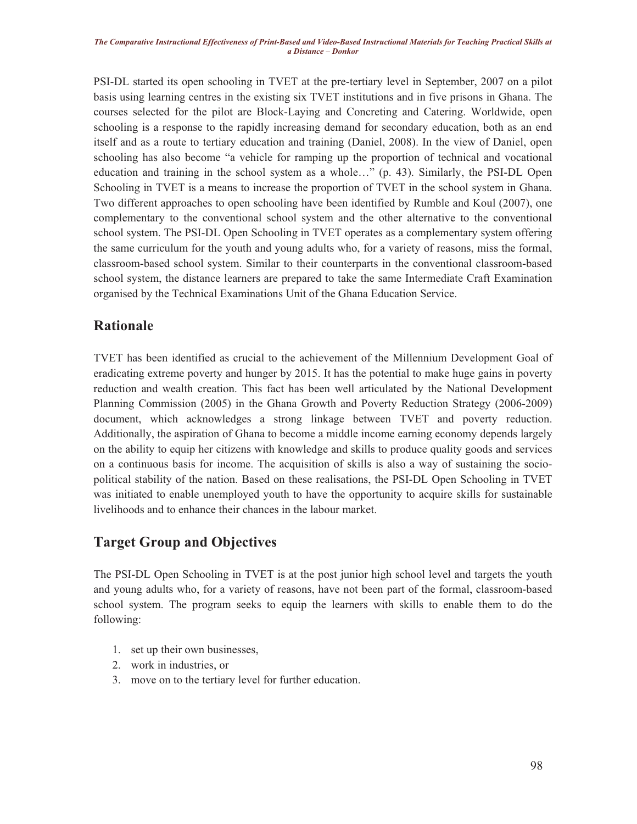PSI-DL started its open schooling in TVET at the pre-tertiary level in September, 2007 on a pilot basis using learning centres in the existing six TVET institutions and in five prisons in Ghana. The courses selected for the pilot are Block-Laying and Concreting and Catering. Worldwide, open schooling is a response to the rapidly increasing demand for secondary education, both as an end itself and as a route to tertiary education and training (Daniel, 2008). In the view of Daniel, open schooling has also become "a vehicle for ramping up the proportion of technical and vocational education and training in the school system as a whole…" (p. 43). Similarly, the PSI-DL Open Schooling in TVET is a means to increase the proportion of TVET in the school system in Ghana. Two different approaches to open schooling have been identified by Rumble and Koul (2007), one complementary to the conventional school system and the other alternative to the conventional school system. The PSI-DL Open Schooling in TVET operates as a complementary system offering the same curriculum for the youth and young adults who, for a variety of reasons, miss the formal, classroom-based school system. Similar to their counterparts in the conventional classroom-based school system, the distance learners are prepared to take the same Intermediate Craft Examination organised by the Technical Examinations Unit of the Ghana Education Service.

## **Rationale**

TVET has been identified as crucial to the achievement of the Millennium Development Goal of eradicating extreme poverty and hunger by 2015. It has the potential to make huge gains in poverty reduction and wealth creation. This fact has been well articulated by the National Development Planning Commission (2005) in the Ghana Growth and Poverty Reduction Strategy (2006-2009) document, which acknowledges a strong linkage between TVET and poverty reduction. Additionally, the aspiration of Ghana to become a middle income earning economy depends largely on the ability to equip her citizens with knowledge and skills to produce quality goods and services on a continuous basis for income. The acquisition of skills is also a way of sustaining the sociopolitical stability of the nation. Based on these realisations, the PSI-DL Open Schooling in TVET was initiated to enable unemployed youth to have the opportunity to acquire skills for sustainable livelihoods and to enhance their chances in the labour market.

# **Target Group and Objectives**

The PSI-DL Open Schooling in TVET is at the post junior high school level and targets the youth and young adults who, for a variety of reasons, have not been part of the formal, classroom-based school system. The program seeks to equip the learners with skills to enable them to do the following:

- 1. set up their own businesses,
- 2. work in industries, or
- 3. move on to the tertiary level for further education.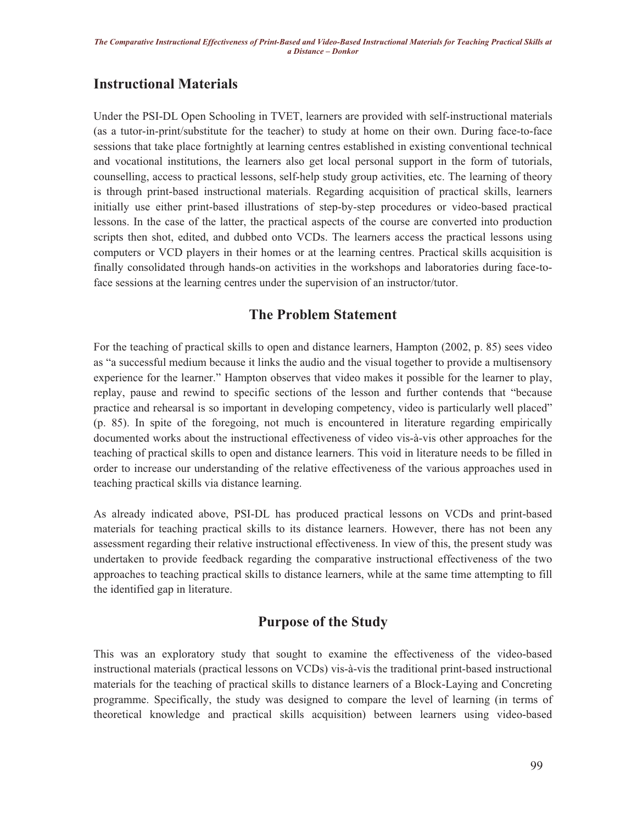# **Instructional Materials**

Under the PSI-DL Open Schooling in TVET, learners are provided with self-instructional materials (as a tutor-in-print/substitute for the teacher) to study at home on their own. During face-to-face sessions that take place fortnightly at learning centres established in existing conventional technical and vocational institutions, the learners also get local personal support in the form of tutorials, counselling, access to practical lessons, self-help study group activities, etc. The learning of theory is through print-based instructional materials. Regarding acquisition of practical skills, learners initially use either print-based illustrations of step-by-step procedures or video-based practical lessons. In the case of the latter, the practical aspects of the course are converted into production scripts then shot, edited, and dubbed onto VCDs. The learners access the practical lessons using computers or VCD players in their homes or at the learning centres. Practical skills acquisition is finally consolidated through hands-on activities in the workshops and laboratories during face-toface sessions at the learning centres under the supervision of an instructor/tutor.

# **The Problem Statement**

For the teaching of practical skills to open and distance learners, Hampton (2002, p. 85) sees video as "a successful medium because it links the audio and the visual together to provide a multisensory experience for the learner." Hampton observes that video makes it possible for the learner to play, replay, pause and rewind to specific sections of the lesson and further contends that "because practice and rehearsal is so important in developing competency, video is particularly well placed" (p. 85). In spite of the foregoing, not much is encountered in literature regarding empirically documented works about the instructional effectiveness of video vis-à-vis other approaches for the teaching of practical skills to open and distance learners. This void in literature needs to be filled in order to increase our understanding of the relative effectiveness of the various approaches used in teaching practical skills via distance learning.

As already indicated above, PSI-DL has produced practical lessons on VCDs and print-based materials for teaching practical skills to its distance learners. However, there has not been any assessment regarding their relative instructional effectiveness. In view of this, the present study was undertaken to provide feedback regarding the comparative instructional effectiveness of the two approaches to teaching practical skills to distance learners, while at the same time attempting to fill the identified gap in literature.

# **Purpose of the Study**

This was an exploratory study that sought to examine the effectiveness of the video-based instructional materials (practical lessons on VCDs) vis-à-vis the traditional print-based instructional materials for the teaching of practical skills to distance learners of a Block-Laying and Concreting programme. Specifically, the study was designed to compare the level of learning (in terms of theoretical knowledge and practical skills acquisition) between learners using video-based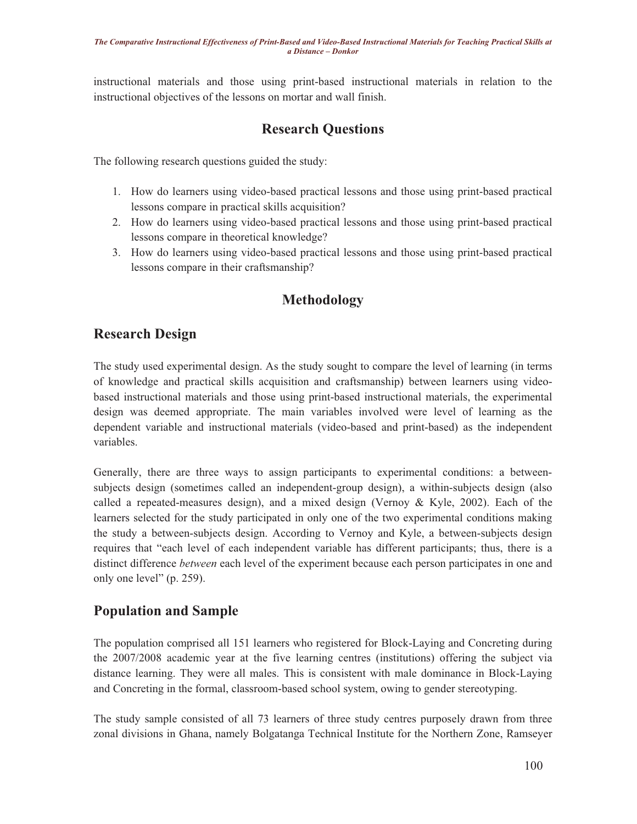instructional materials and those using print-based instructional materials in relation to the instructional objectives of the lessons on mortar and wall finish.

# **Research Questions**

The following research questions guided the study:

- 1. How do learners using video-based practical lessons and those using print-based practical lessons compare in practical skills acquisition?
- 2. How do learners using video-based practical lessons and those using print-based practical lessons compare in theoretical knowledge?
- 3. How do learners using video-based practical lessons and those using print-based practical lessons compare in their craftsmanship?

# **Methodology**

# **Research Design**

The study used experimental design. As the study sought to compare the level of learning (in terms of knowledge and practical skills acquisition and craftsmanship) between learners using videobased instructional materials and those using print-based instructional materials, the experimental design was deemed appropriate. The main variables involved were level of learning as the dependent variable and instructional materials (video-based and print-based) as the independent variables.

Generally, there are three ways to assign participants to experimental conditions: a betweensubjects design (sometimes called an independent-group design), a within-subjects design (also called a repeated-measures design), and a mixed design (Vernoy & Kyle, 2002). Each of the learners selected for the study participated in only one of the two experimental conditions making the study a between-subjects design. According to Vernoy and Kyle, a between-subjects design requires that "each level of each independent variable has different participants; thus, there is a distinct difference *between* each level of the experiment because each person participates in one and only one level" (p. 259).

# **Population and Sample**

The population comprised all 151 learners who registered for Block-Laying and Concreting during the 2007/2008 academic year at the five learning centres (institutions) offering the subject via distance learning. They were all males. This is consistent with male dominance in Block-Laying and Concreting in the formal, classroom-based school system, owing to gender stereotyping.

The study sample consisted of all 73 learners of three study centres purposely drawn from three zonal divisions in Ghana, namely Bolgatanga Technical Institute for the Northern Zone, Ramseyer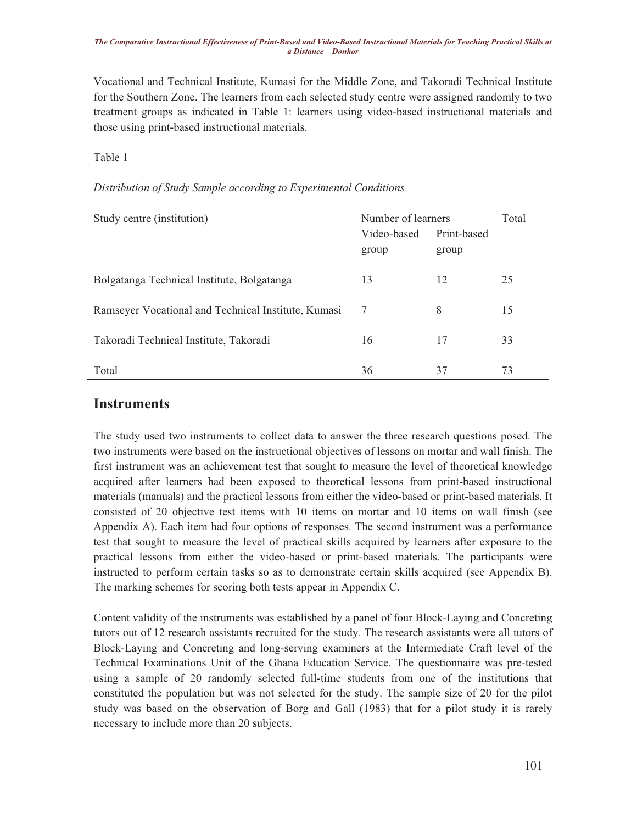Vocational and Technical Institute, Kumasi for the Middle Zone, and Takoradi Technical Institute for the Southern Zone. The learners from each selected study centre were assigned randomly to two treatment groups as indicated in Table 1: learners using video-based instructional materials and those using print-based instructional materials.

Table 1

#### *Distribution of Study Sample according to Experimental Conditions*

| Study centre (institution)                          | Number of learners | Total       |    |
|-----------------------------------------------------|--------------------|-------------|----|
|                                                     | Video-based        | Print-based |    |
|                                                     | group              | group       |    |
| Bolgatanga Technical Institute, Bolgatanga          | 13                 | 12          | 25 |
| Ramseyer Vocational and Technical Institute, Kumasi | 7                  | 8           | 15 |
| Takoradi Technical Institute, Takoradi              | 16                 | 17          | 33 |
| Total                                               | 36                 | 37          | 73 |

## **Instruments**

The study used two instruments to collect data to answer the three research questions posed. The two instruments were based on the instructional objectives of lessons on mortar and wall finish. The first instrument was an achievement test that sought to measure the level of theoretical knowledge acquired after learners had been exposed to theoretical lessons from print-based instructional materials (manuals) and the practical lessons from either the video-based or print-based materials. It consisted of 20 objective test items with 10 items on mortar and 10 items on wall finish (see Appendix A). Each item had four options of responses. The second instrument was a performance test that sought to measure the level of practical skills acquired by learners after exposure to the practical lessons from either the video-based or print-based materials. The participants were instructed to perform certain tasks so as to demonstrate certain skills acquired (see Appendix B). The marking schemes for scoring both tests appear in Appendix C.

Content validity of the instruments was established by a panel of four Block-Laying and Concreting tutors out of 12 research assistants recruited for the study. The research assistants were all tutors of Block-Laying and Concreting and long-serving examiners at the Intermediate Craft level of the Technical Examinations Unit of the Ghana Education Service. The questionnaire was pre-tested using a sample of 20 randomly selected full-time students from one of the institutions that constituted the population but was not selected for the study. The sample size of 20 for the pilot study was based on the observation of Borg and Gall (1983) that for a pilot study it is rarely necessary to include more than 20 subjects.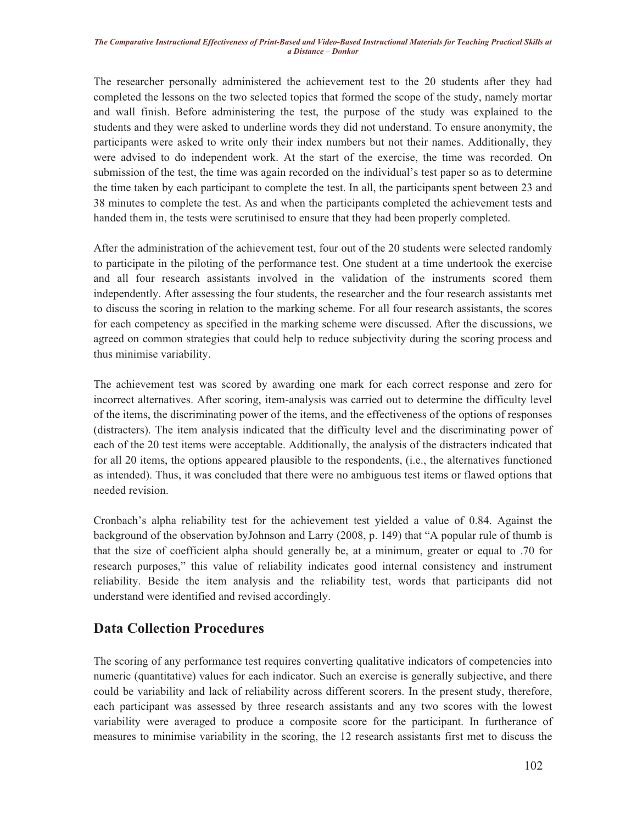The researcher personally administered the achievement test to the 20 students after they had completed the lessons on the two selected topics that formed the scope of the study, namely mortar and wall finish. Before administering the test, the purpose of the study was explained to the students and they were asked to underline words they did not understand. To ensure anonymity, the participants were asked to write only their index numbers but not their names. Additionally, they were advised to do independent work. At the start of the exercise, the time was recorded. On submission of the test, the time was again recorded on the individual's test paper so as to determine the time taken by each participant to complete the test. In all, the participants spent between 23 and 38 minutes to complete the test. As and when the participants completed the achievement tests and handed them in, the tests were scrutinised to ensure that they had been properly completed.

After the administration of the achievement test, four out of the 20 students were selected randomly to participate in the piloting of the performance test. One student at a time undertook the exercise and all four research assistants involved in the validation of the instruments scored them independently. After assessing the four students, the researcher and the four research assistants met to discuss the scoring in relation to the marking scheme. For all four research assistants, the scores for each competency as specified in the marking scheme were discussed. After the discussions, we agreed on common strategies that could help to reduce subjectivity during the scoring process and thus minimise variability.

The achievement test was scored by awarding one mark for each correct response and zero for incorrect alternatives. After scoring, item-analysis was carried out to determine the difficulty level of the items, the discriminating power of the items, and the effectiveness of the options of responses (distracters). The item analysis indicated that the difficulty level and the discriminating power of each of the 20 test items were acceptable. Additionally, the analysis of the distracters indicated that for all 20 items, the options appeared plausible to the respondents, (i.e., the alternatives functioned as intended). Thus, it was concluded that there were no ambiguous test items or flawed options that needed revision.

Cronbach's alpha reliability test for the achievement test yielded a value of 0.84. Against the background of the observation byJohnson and Larry (2008, p. 149) that "A popular rule of thumb is that the size of coefficient alpha should generally be, at a minimum, greater or equal to .70 for research purposes," this value of reliability indicates good internal consistency and instrument reliability. Beside the item analysis and the reliability test, words that participants did not understand were identified and revised accordingly.

## **Data Collection Procedures**

The scoring of any performance test requires converting qualitative indicators of competencies into numeric (quantitative) values for each indicator. Such an exercise is generally subjective, and there could be variability and lack of reliability across different scorers. In the present study, therefore, each participant was assessed by three research assistants and any two scores with the lowest variability were averaged to produce a composite score for the participant. In furtherance of measures to minimise variability in the scoring, the 12 research assistants first met to discuss the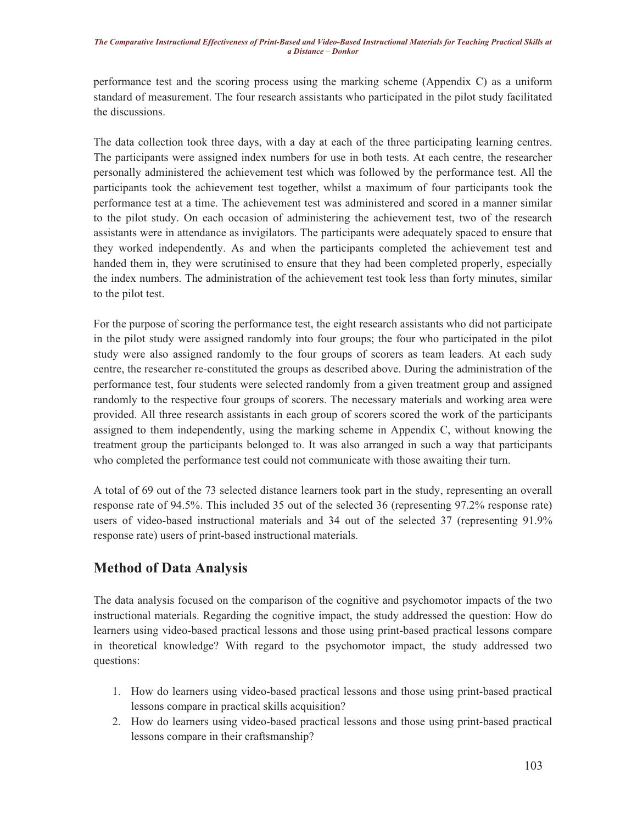performance test and the scoring process using the marking scheme (Appendix C) as a uniform standard of measurement. The four research assistants who participated in the pilot study facilitated the discussions.

The data collection took three days, with a day at each of the three participating learning centres. The participants were assigned index numbers for use in both tests. At each centre, the researcher personally administered the achievement test which was followed by the performance test. All the participants took the achievement test together, whilst a maximum of four participants took the performance test at a time. The achievement test was administered and scored in a manner similar to the pilot study. On each occasion of administering the achievement test, two of the research assistants were in attendance as invigilators. The participants were adequately spaced to ensure that they worked independently. As and when the participants completed the achievement test and handed them in, they were scrutinised to ensure that they had been completed properly, especially the index numbers. The administration of the achievement test took less than forty minutes, similar to the pilot test.

For the purpose of scoring the performance test, the eight research assistants who did not participate in the pilot study were assigned randomly into four groups; the four who participated in the pilot study were also assigned randomly to the four groups of scorers as team leaders. At each sudy centre, the researcher re-constituted the groups as described above. During the administration of the performance test, four students were selected randomly from a given treatment group and assigned randomly to the respective four groups of scorers. The necessary materials and working area were provided. All three research assistants in each group of scorers scored the work of the participants assigned to them independently, using the marking scheme in Appendix C, without knowing the treatment group the participants belonged to. It was also arranged in such a way that participants who completed the performance test could not communicate with those awaiting their turn.

A total of 69 out of the 73 selected distance learners took part in the study, representing an overall response rate of 94.5%. This included 35 out of the selected 36 (representing 97.2% response rate) users of video-based instructional materials and 34 out of the selected 37 (representing 91.9% response rate) users of print-based instructional materials.

# **Method of Data Analysis**

The data analysis focused on the comparison of the cognitive and psychomotor impacts of the two instructional materials. Regarding the cognitive impact, the study addressed the question: How do learners using video-based practical lessons and those using print-based practical lessons compare in theoretical knowledge? With regard to the psychomotor impact, the study addressed two questions:

- 1. How do learners using video-based practical lessons and those using print-based practical lessons compare in practical skills acquisition?
- 2. How do learners using video-based practical lessons and those using print-based practical lessons compare in their craftsmanship?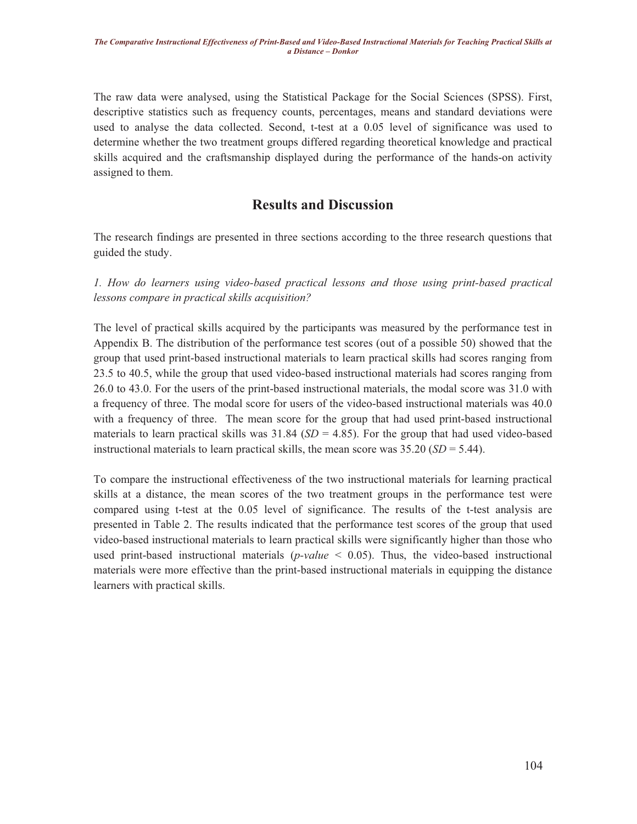The raw data were analysed, using the Statistical Package for the Social Sciences (SPSS). First, descriptive statistics such as frequency counts, percentages, means and standard deviations were used to analyse the data collected. Second, t-test at a 0.05 level of significance was used to determine whether the two treatment groups differed regarding theoretical knowledge and practical skills acquired and the craftsmanship displayed during the performance of the hands-on activity assigned to them.

## **Results and Discussion**

The research findings are presented in three sections according to the three research questions that guided the study.

*1. How do learners using video-based practical lessons and those using print-based practical lessons compare in practical skills acquisition?* 

The level of practical skills acquired by the participants was measured by the performance test in Appendix B. The distribution of the performance test scores (out of a possible 50) showed that the group that used print-based instructional materials to learn practical skills had scores ranging from 23.5 to 40.5, while the group that used video-based instructional materials had scores ranging from 26.0 to 43.0. For the users of the print-based instructional materials, the modal score was 31.0 with a frequency of three. The modal score for users of the video-based instructional materials was 40.0 with a frequency of three. The mean score for the group that had used print-based instructional materials to learn practical skills was  $31.84$  ( $SD = 4.85$ ). For the group that had used video-based instructional materials to learn practical skills, the mean score was  $35.20$  (*SD* = 5.44).

To compare the instructional effectiveness of the two instructional materials for learning practical skills at a distance, the mean scores of the two treatment groups in the performance test were compared using t-test at the 0.05 level of significance. The results of the t-test analysis are presented in Table 2. The results indicated that the performance test scores of the group that used video-based instructional materials to learn practical skills were significantly higher than those who used print-based instructional materials (*p-value* < 0.05). Thus, the video-based instructional materials were more effective than the print-based instructional materials in equipping the distance learners with practical skills.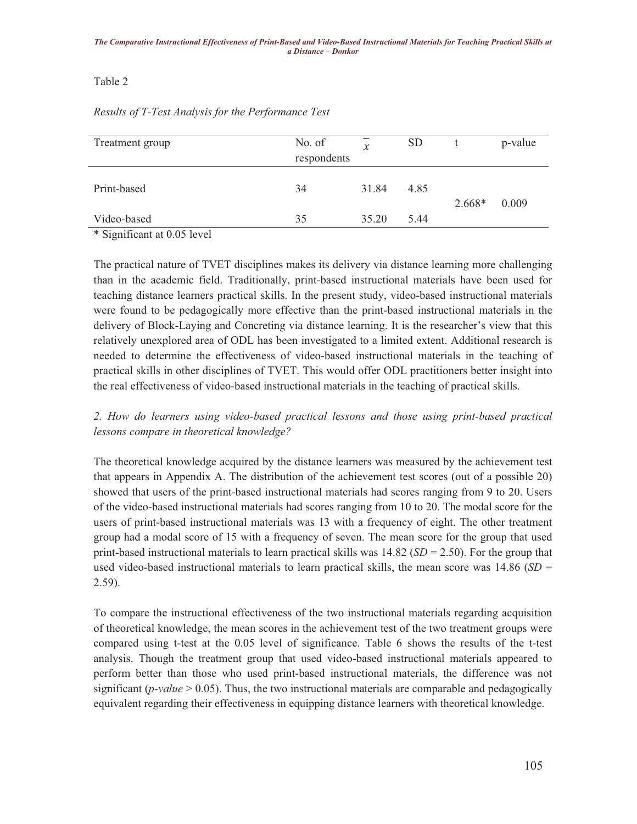#### Table 2

| Treatment group               | No. of      | $\mathcal{X}$ | <b>SD</b> |          | p-value |
|-------------------------------|-------------|---------------|-----------|----------|---------|
|                               | respondents |               |           |          |         |
|                               |             |               |           |          |         |
| Print-based                   | 34          | 31.84         | 4.85      |          |         |
|                               |             |               |           | $2.668*$ | 0.009   |
| Video-based                   | 35          | 35.20         | 5.44      |          |         |
| $\mathbf{a} \cdot \mathbf{a}$ |             |               |           |          |         |

*Results of T-Test Analysis for the Performance Test* 

\* Significant at 0.05 level

The practical nature of TVET disciplines makes its delivery via distance learning more challenging than in the academic field. Traditionally, print-based instructional materials have been used for teaching distance learners practical skills. In the present study, video-based instructional materials were found to be pedagogically more effective than the print-based instructional materials in the delivery of Block-Laying and Concreting via distance learning. It is the researcher's view that this relatively unexplored area of ODL has been investigated to a limited extent. Additional research is needed to determine the effectiveness of video-based instructional materials in the teaching of practical skills in other disciplines of TVET. This would offer ODL practitioners better insight into the real effectiveness of video-based instructional materials in the teaching of practical skills.

## *2. How do learners using video-based practical lessons and those using print-based practical lessons compare in theoretical knowledge?*

The theoretical knowledge acquired by the distance learners was measured by the achievement test that appears in Appendix A. The distribution of the achievement test scores (out of a possible 20) showed that users of the print-based instructional materials had scores ranging from 9 to 20. Users of the video-based instructional materials had scores ranging from 10 to 20. The modal score for the users of print-based instructional materials was 13 with a frequency of eight. The other treatment group had a modal score of 15 with a frequency of seven. The mean score for the group that used print-based instructional materials to learn practical skills was 14.82 (*SD* = 2.50). For the group that used video-based instructional materials to learn practical skills, the mean score was 14.86 (*SD* = 2.59).

To compare the instructional effectiveness of the two instructional materials regarding acquisition of theoretical knowledge, the mean scores in the achievement test of the two treatment groups were compared using t-test at the 0.05 level of significance. Table 6 shows the results of the t-test analysis. Though the treatment group that used video-based instructional materials appeared to perform better than those who used print-based instructional materials, the difference was not significant ( $p-value > 0.05$ ). Thus, the two instructional materials are comparable and pedagogically equivalent regarding their effectiveness in equipping distance learners with theoretical knowledge.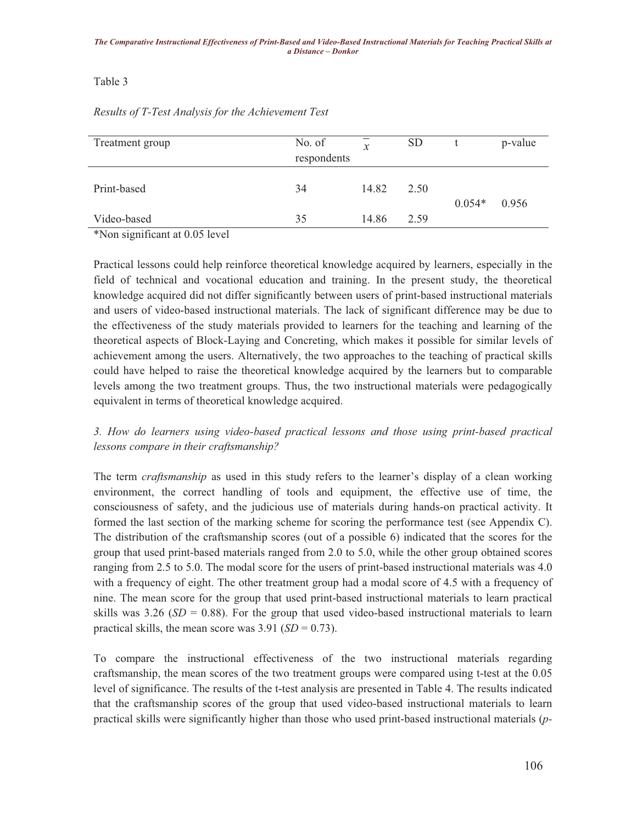#### Table 3

| Treatment group                                                                                                                                          | No. of      | $\chi$ | <b>SD</b> |          | p-value |
|----------------------------------------------------------------------------------------------------------------------------------------------------------|-------------|--------|-----------|----------|---------|
|                                                                                                                                                          | respondents |        |           |          |         |
|                                                                                                                                                          |             |        |           |          |         |
| Print-based                                                                                                                                              | 34          | 14.82  | 2.50      |          |         |
|                                                                                                                                                          |             |        |           | $0.054*$ | 0.956   |
| Video-based                                                                                                                                              | 35          | 14.86  | 2.59      |          |         |
| $\cdot$ $\sim$<br>$\mathbf{L} \mathbf{L} \mathbf{V}$<br>$\bullet$ . The set of $\bullet$<br>$\cdots$ $\wedge$ $\wedge$ $=$ 1<br>$\overline{\phantom{a}}$ |             |        |           |          |         |

*Results of T-Test Analysis for the Achievement Test* 

\*Non significant at 0.05 level

Practical lessons could help reinforce theoretical knowledge acquired by learners, especially in the field of technical and vocational education and training. In the present study, the theoretical knowledge acquired did not differ significantly between users of print-based instructional materials and users of video-based instructional materials. The lack of significant difference may be due to the effectiveness of the study materials provided to learners for the teaching and learning of the theoretical aspects of Block-Laying and Concreting, which makes it possible for similar levels of achievement among the users. Alternatively, the two approaches to the teaching of practical skills could have helped to raise the theoretical knowledge acquired by the learners but to comparable levels among the two treatment groups. Thus, the two instructional materials were pedagogically equivalent in terms of theoretical knowledge acquired.

## *3. How do learners using video-based practical lessons and those using print-based practical lessons compare in their craftsmanship?*

The term *craftsmanship* as used in this study refers to the learner's display of a clean working environment, the correct handling of tools and equipment, the effective use of time, the consciousness of safety, and the judicious use of materials during hands-on practical activity. It formed the last section of the marking scheme for scoring the performance test (see Appendix C). The distribution of the craftsmanship scores (out of a possible 6) indicated that the scores for the group that used print-based materials ranged from 2.0 to 5.0, while the other group obtained scores ranging from 2.5 to 5.0. The modal score for the users of print-based instructional materials was 4.0 with a frequency of eight. The other treatment group had a modal score of 4.5 with a frequency of nine. The mean score for the group that used print-based instructional materials to learn practical skills was 3.26 ( $SD = 0.88$ ). For the group that used video-based instructional materials to learn practical skills, the mean score was  $3.91$  (*SD* = 0.73).

To compare the instructional effectiveness of the two instructional materials regarding craftsmanship, the mean scores of the two treatment groups were compared using t-test at the 0.05 level of significance. The results of the t-test analysis are presented in Table 4. The results indicated that the craftsmanship scores of the group that used video-based instructional materials to learn practical skills were significantly higher than those who used print-based instructional materials (*p-*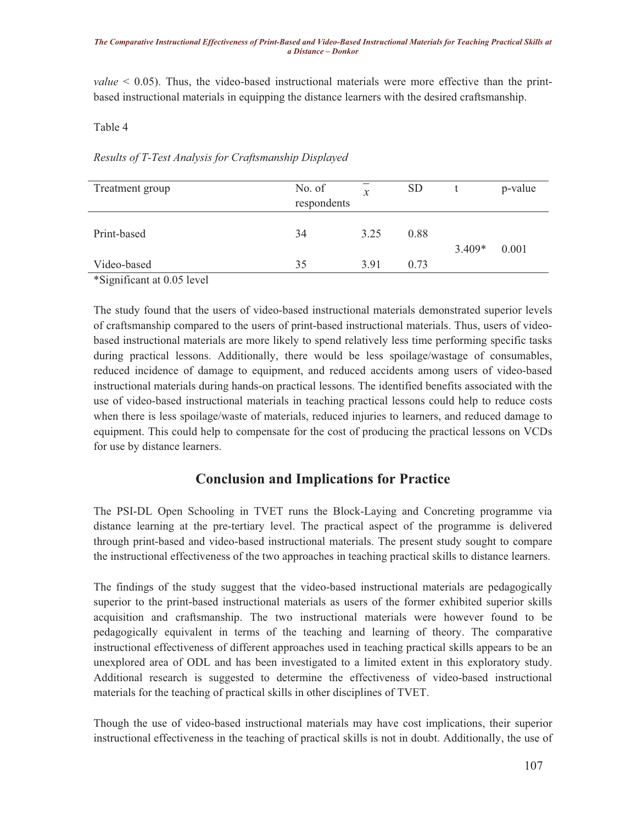*value* < 0.05). Thus, the video-based instructional materials were more effective than the printbased instructional materials in equipping the distance learners with the desired craftsmanship.

Table 4

|  |  | Results of T-Test Analysis for Craftsmanship Displayed |  |
|--|--|--------------------------------------------------------|--|
|--|--|--------------------------------------------------------|--|

| Treatment group             | No. of<br>respondents | $\mathcal{X}$ | <b>SD</b> |          | p-value |
|-----------------------------|-----------------------|---------------|-----------|----------|---------|
|                             |                       |               |           |          |         |
| Print-based                 | 34                    | 3.25          | 0.88      | $3.409*$ | 0.001   |
| Video-based                 | 35                    | 3.91          | 0.73      |          |         |
| $\star$ C $\ldots$ $\ldots$ |                       |               |           |          |         |

\*Significant at 0.05 level

The study found that the users of video-based instructional materials demonstrated superior levels of craftsmanship compared to the users of print-based instructional materials. Thus, users of videobased instructional materials are more likely to spend relatively less time performing specific tasks during practical lessons. Additionally, there would be less spoilage/wastage of consumables, reduced incidence of damage to equipment, and reduced accidents among users of video-based instructional materials during hands-on practical lessons. The identified benefits associated with the use of video-based instructional materials in teaching practical lessons could help to reduce costs when there is less spoilage/waste of materials, reduced injuries to learners, and reduced damage to equipment. This could help to compensate for the cost of producing the practical lessons on VCDs for use by distance learners.

# **Conclusion and Implications for Practice**

The PSI-DL Open Schooling in TVET runs the Block-Laying and Concreting programme via distance learning at the pre-tertiary level. The practical aspect of the programme is delivered through print-based and video-based instructional materials. The present study sought to compare the instructional effectiveness of the two approaches in teaching practical skills to distance learners.

The findings of the study suggest that the video-based instructional materials are pedagogically superior to the print-based instructional materials as users of the former exhibited superior skills acquisition and craftsmanship. The two instructional materials were however found to be pedagogically equivalent in terms of the teaching and learning of theory. The comparative instructional effectiveness of different approaches used in teaching practical skills appears to be an unexplored area of ODL and has been investigated to a limited extent in this exploratory study. Additional research is suggested to determine the effectiveness of video-based instructional materials for the teaching of practical skills in other disciplines of TVET.

Though the use of video-based instructional materials may have cost implications, their superior instructional effectiveness in the teaching of practical skills is not in doubt. Additionally, the use of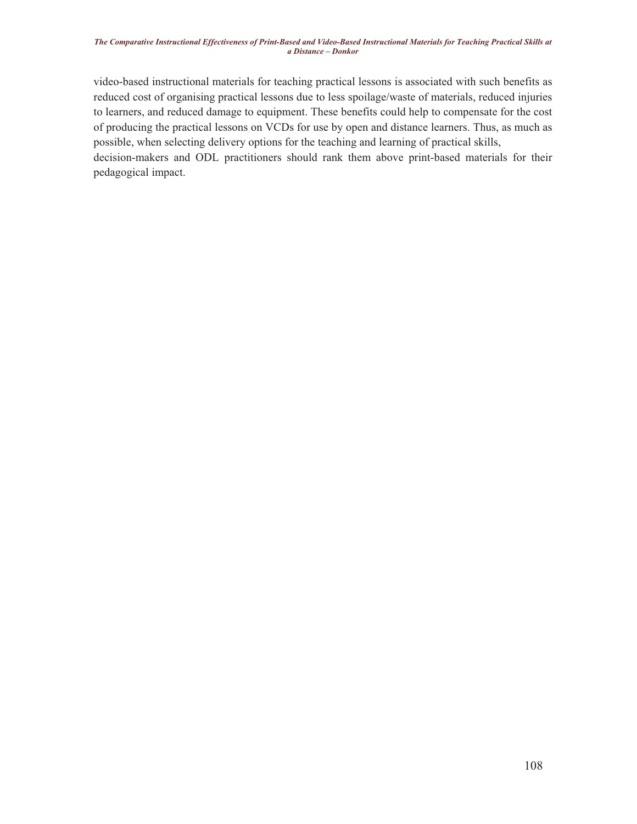video-based instructional materials for teaching practical lessons is associated with such benefits as reduced cost of organising practical lessons due to less spoilage/waste of materials, reduced injuries to learners, and reduced damage to equipment. These benefits could help to compensate for the cost of producing the practical lessons on VCDs for use by open and distance learners. Thus, as much as possible, when selecting delivery options for the teaching and learning of practical skills,

decision-makers and ODL practitioners should rank them above print-based materials for their pedagogical impact.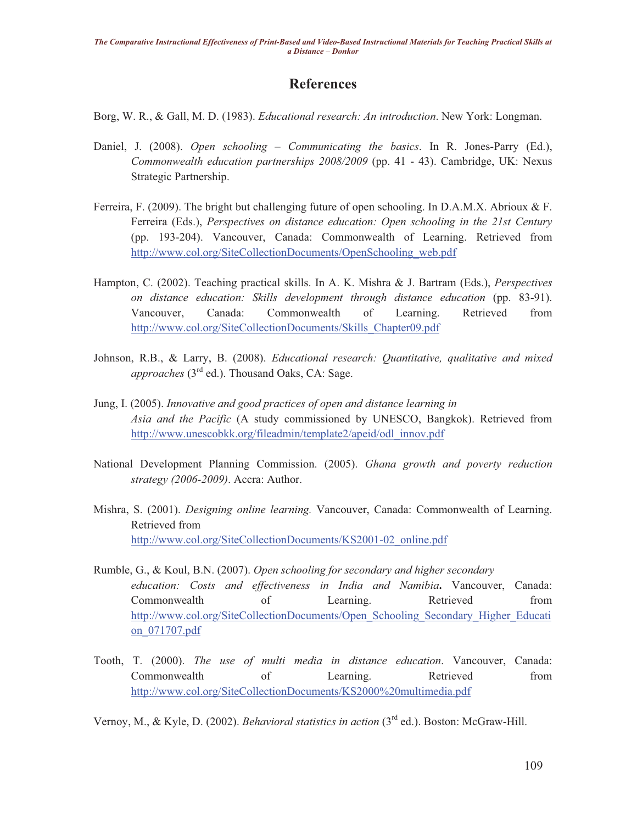# **References**

Borg, W. R., & Gall, M. D. (1983). *Educational research: An introduction*. New York: Longman.

- Daniel, J. (2008). *Open schooling Communicating the basics*. In R. Jones-Parry (Ed.), *Commonwealth education partnerships 2008/2009* (pp. 41 - 43). Cambridge, UK: Nexus Strategic Partnership.
- Ferreira, F. (2009). The bright but challenging future of open schooling. In D.A.M.X. Abrioux & F. Ferreira (Eds.), *Perspectives on distance education: Open schooling in the 21st Century* (pp. 193-204). Vancouver, Canada: Commonwealth of Learning. Retrieved from http://www.col.org/SiteCollectionDocuments/OpenSchooling\_web.pdf
- Hampton, C. (2002). Teaching practical skills. In A. K. Mishra & J. Bartram (Eds.), *Perspectives on distance education: Skills development through distance education* (pp. 83-91). Vancouver, Canada: Commonwealth of Learning. Retrieved from http://www.col.org/SiteCollectionDocuments/Skills\_Chapter09.pdf
- Johnson, R.B., & Larry, B. (2008). *Educational research: Quantitative, qualitative and mixed approaches* (3rd ed.). Thousand Oaks, CA: Sage.
- Jung, I. (2005). *Innovative and good practices of open and distance learning in Asia and the Pacific* (A study commissioned by UNESCO, Bangkok). Retrieved from http://www.unescobkk.org/fileadmin/template2/apeid/odl\_innov.pdf
- National Development Planning Commission. (2005). *Ghana growth and poverty reduction strategy (2006-2009)*. Accra: Author.
- Mishra, S. (2001). *Designing online learning.* Vancouver, Canada: Commonwealth of Learning. Retrieved from http://www.col.org/SiteCollectionDocuments/KS2001-02\_online.pdf
- Rumble, G., & Koul, B.N. (2007). *Open schooling for secondary and higher secondary education: Costs and effectiveness in India and Namibia***.** Vancouver, Canada: Commonwealth of Learning. Retrieved from http://www.col.org/SiteCollectionDocuments/Open\_Schooling\_Secondary\_Higher\_Educati on\_071707.pdf
- Tooth, T. (2000). *The use of multi media in distance education*. Vancouver, Canada: Commonwealth of Learning. Retrieved from http://www.col.org/SiteCollectionDocuments/KS2000%20multimedia.pdf

Vernoy, M., & Kyle, D. (2002). *Behavioral statistics in action* (3rd ed.). Boston: McGraw-Hill.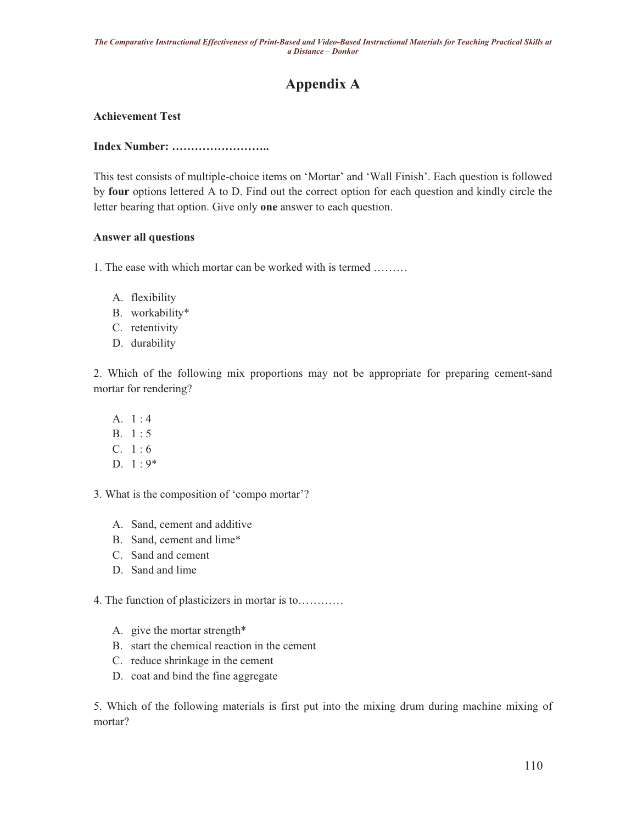# **Appendix A**

#### **Achievement Test**

#### **Index Number: ……………………..**

This test consists of multiple-choice items on 'Mortar' and 'Wall Finish'. Each question is followed by **four** options lettered A to D. Find out the correct option for each question and kindly circle the letter bearing that option. Give only **one** answer to each question.

#### **Answer all questions**

1. The ease with which mortar can be worked with is termed ………

- A. flexibility
- B. workability\*
- C. retentivity
- D. durability

2. Which of the following mix proportions may not be appropriate for preparing cement-sand mortar for rendering?

- A. 1 : 4
- B. 1 : 5
- $C. 1:6$
- D. 1 : 9\*

3. What is the composition of 'compo mortar'?

- A. Sand, cement and additive
- B. Sand, cement and lime\*
- C. Sand and cement
- D. Sand and lime

4. The function of plasticizers in mortar is to…………

- A. give the mortar strength\*
- B. start the chemical reaction in the cement
- C. reduce shrinkage in the cement
- D. coat and bind the fine aggregate

5. Which of the following materials is first put into the mixing drum during machine mixing of mortar?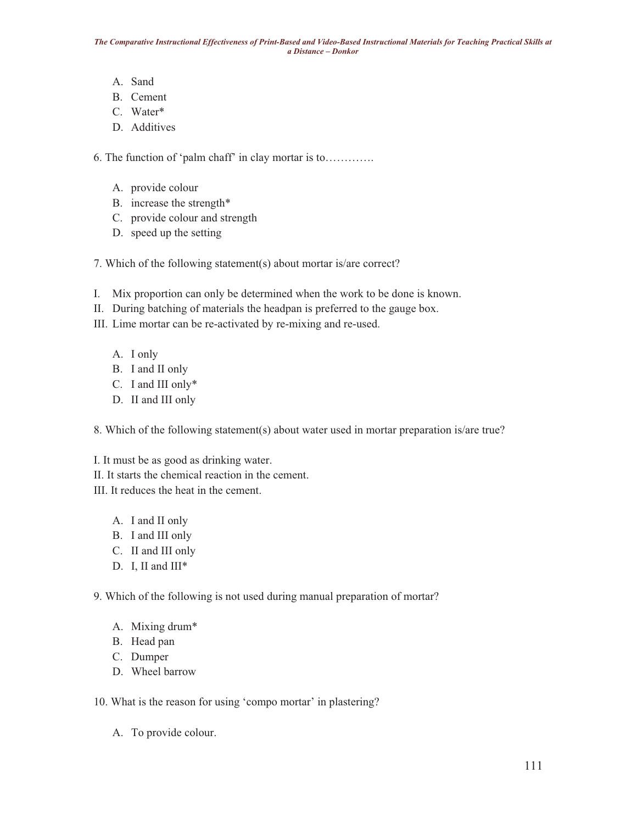- A. Sand
- B. Cement
- C. Water\*
- D. Additives

6. The function of 'palm chaff' in clay mortar is to………….

- A. provide colour
- B. increase the strength\*
- C. provide colour and strength
- D. speed up the setting

7. Which of the following statement(s) about mortar is/are correct?

- I. Mix proportion can only be determined when the work to be done is known.
- II. During batching of materials the headpan is preferred to the gauge box.
- III. Lime mortar can be re-activated by re-mixing and re-used.
	- A. I only
	- B. I and II only
	- C. I and III only\*
	- D. II and III only

8. Which of the following statement(s) about water used in mortar preparation is/are true?

I. It must be as good as drinking water.

- II. It starts the chemical reaction in the cement.
- III. It reduces the heat in the cement.
	- A. I and II only
	- B. I and III only
	- C. II and III only
	- D. I. II and III<sup>\*</sup>

9. Which of the following is not used during manual preparation of mortar?

- A. Mixing drum\*
- B. Head pan
- C. Dumper
- D. Wheel barrow

10. What is the reason for using 'compo mortar' in plastering?

A. To provide colour.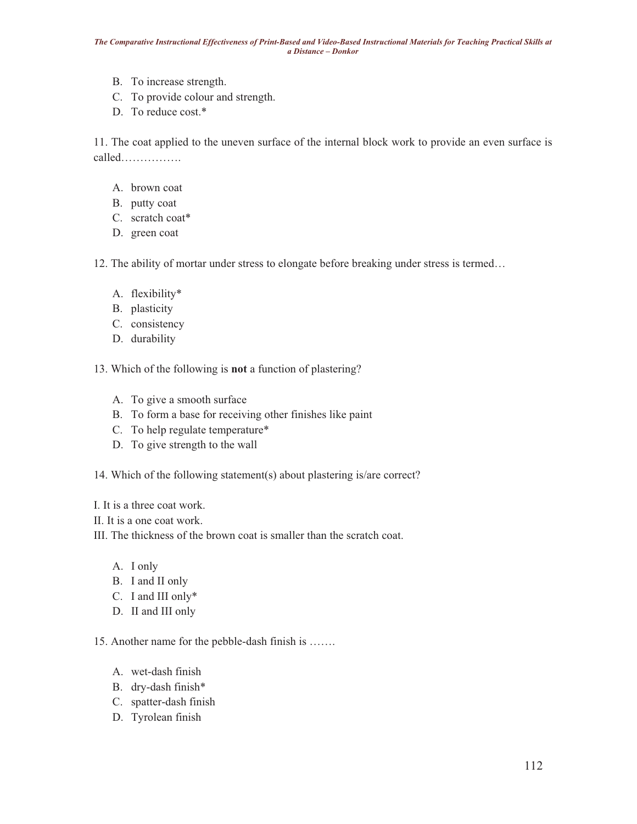- B. To increase strength.
- C. To provide colour and strength.
- D. To reduce cost.\*

11. The coat applied to the uneven surface of the internal block work to provide an even surface is called…………….

- A. brown coat
- B. putty coat
- C. scratch coat\*
- D. green coat

12. The ability of mortar under stress to elongate before breaking under stress is termed…

- A. flexibility\*
- B. plasticity
- C. consistency
- D. durability

13. Which of the following is **not** a function of plastering?

- A. To give a smooth surface
- B. To form a base for receiving other finishes like paint
- C. To help regulate temperature\*
- D. To give strength to the wall
- 14. Which of the following statement(s) about plastering is/are correct?

I. It is a three coat work.

II. It is a one coat work.

III. The thickness of the brown coat is smaller than the scratch coat.

- A. I only
- B. I and II only
- C. I and III only\*
- D. II and III only

15. Another name for the pebble-dash finish is …….

- A. wet-dash finish
- B. dry-dash finish\*
- C. spatter-dash finish
- D. Tyrolean finish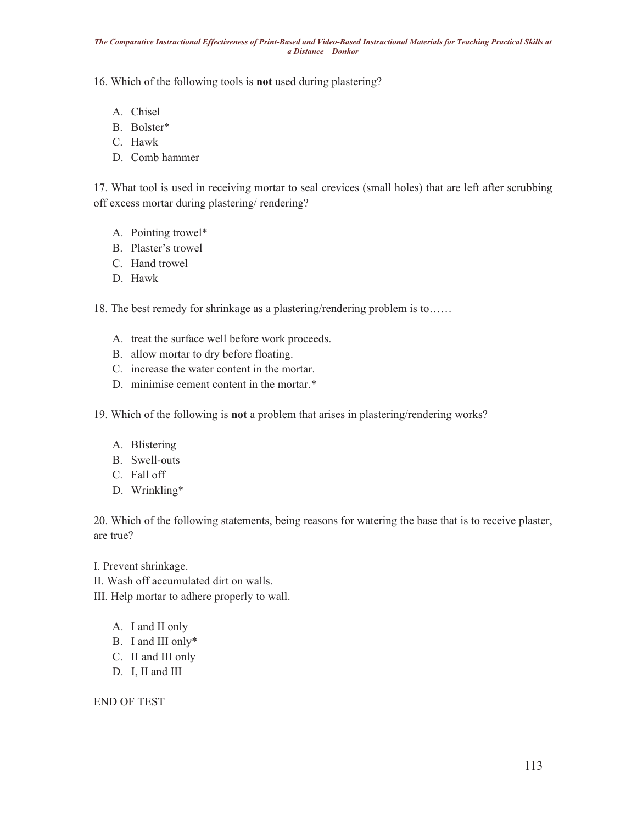16. Which of the following tools is **not** used during plastering?

- A. Chisel
- B. Bolster\*
- C. Hawk
- D. Comb hammer

17. What tool is used in receiving mortar to seal crevices (small holes) that are left after scrubbing off excess mortar during plastering/ rendering?

- A. Pointing trowel\*
- B. Plaster's trowel
- C. Hand trowel
- D. Hawk

18. The best remedy for shrinkage as a plastering/rendering problem is to……

- A. treat the surface well before work proceeds.
- B. allow mortar to dry before floating.
- C. increase the water content in the mortar.
- D. minimise cement content in the mortar.\*

19. Which of the following is **not** a problem that arises in plastering/rendering works?

- A. Blistering
- B. Swell-outs
- C. Fall off
- D. Wrinkling\*

20. Which of the following statements, being reasons for watering the base that is to receive plaster, are true?

I. Prevent shrinkage.

II. Wash off accumulated dirt on walls.

III. Help mortar to adhere properly to wall.

- A. I and II only
- B. I and III only\*
- C. II and III only
- D. I, II and III

END OF TEST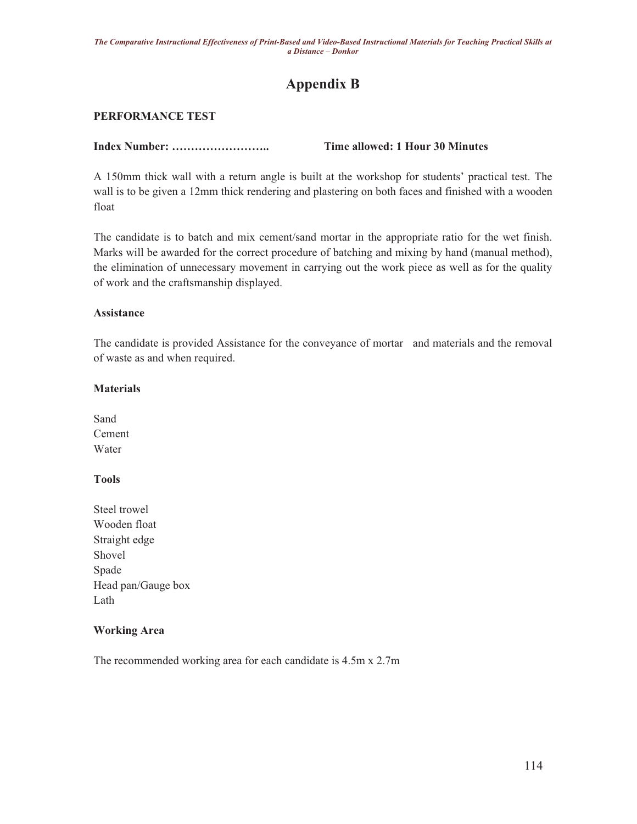# **Appendix B**

#### **PERFORMANCE TEST**

#### **Index Number: …………………….. Time allowed: 1 Hour 30 Minutes**

A 150mm thick wall with a return angle is built at the workshop for students' practical test. The wall is to be given a 12mm thick rendering and plastering on both faces and finished with a wooden float

The candidate is to batch and mix cement/sand mortar in the appropriate ratio for the wet finish. Marks will be awarded for the correct procedure of batching and mixing by hand (manual method), the elimination of unnecessary movement in carrying out the work piece as well as for the quality of work and the craftsmanship displayed.

#### **Assistance**

The candidate is provided Assistance for the conveyance of mortar and materials and the removal of waste as and when required.

#### **Materials**

Sand Cement Water

#### **Tools**

Steel trowel Wooden float Straight edge Shovel Spade Head pan/Gauge box Lath

#### **Working Area**

The recommended working area for each candidate is 4.5m x 2.7m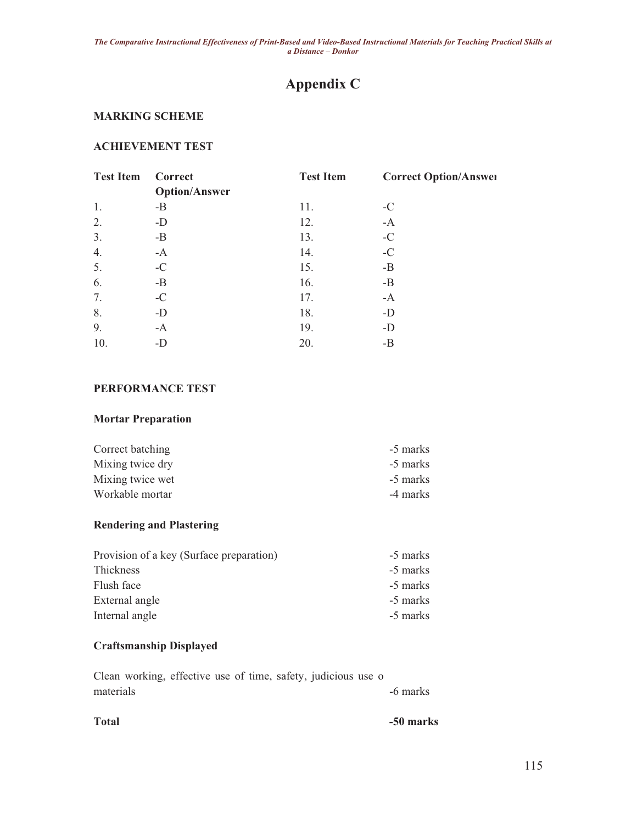# **Appendix C**

#### **MARKING SCHEME**

#### **ACHIEVEMENT TEST**

| <b>Test Item</b> | Correct              | <b>Test Item</b> | <b>Correct Option/Answer</b> |
|------------------|----------------------|------------------|------------------------------|
|                  | <b>Option/Answer</b> |                  |                              |
| 1.               | $-B$                 | 11.              | $-C$                         |
| 2.               | $-D$                 | 12.              | $-A$                         |
| 3.               | $-B$                 | 13.              | $-C$                         |
| 4.               | $-A$                 | 14.              | $-C$                         |
| 5.               | $-C$                 | 15.              | $-B$                         |
| 6.               | $-B$                 | 16.              | $-B$                         |
| 7.               | $-C$                 | 17.              | $-A$                         |
| 8.               | $-D$                 | 18.              | -D                           |
| 9.               | $-A$                 | 19.              | -D                           |
| 10.              | -D                   | 20.              | -B                           |

#### **PERFORMANCE TEST**

#### **Mortar Preparation**

| Correct batching | -5 marks |
|------------------|----------|
| Mixing twice dry | -5 marks |
| Mixing twice wet | -5 marks |
| Workable mortar  | -4 marks |

#### **Rendering and Plastering**

| Provision of a key (Surface preparation) | -5 marks |
|------------------------------------------|----------|
| Thickness                                | -5 marks |
| Flush face                               | -5 marks |
| External angle                           | -5 marks |
| Internal angle                           | -5 marks |

#### **Craftsmanship Displayed**

|           |  |  | Clean working, effective use of time, safety, judicious use o |  |          |
|-----------|--|--|---------------------------------------------------------------|--|----------|
| materials |  |  |                                                               |  | -6 marks |
|           |  |  |                                                               |  |          |

**Total -50 marks**